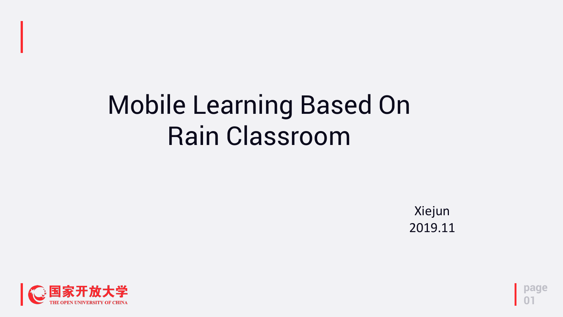**page 01**

## Mobile Learning Based On Rain Classroom



Xiejun 2019.11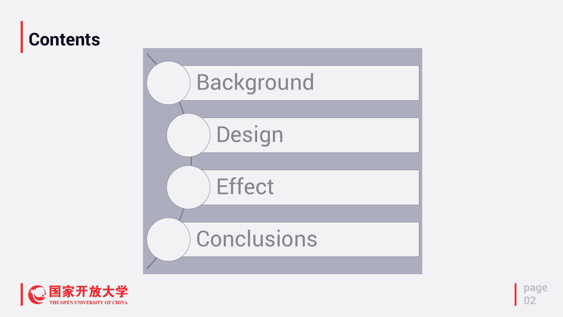### **Contents**





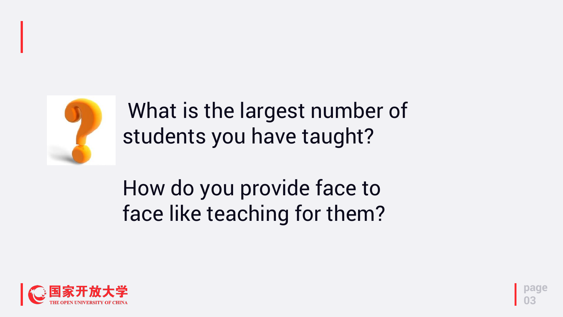**page 03**



What is the largest number of students you have taught?

### How do you provide face to face like teaching for them?

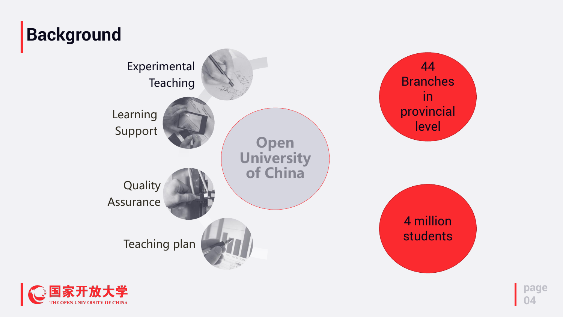







#### 4 million students

### **Background**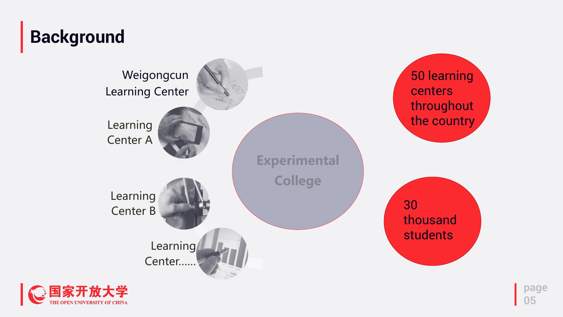





50 learning centers throughout the country

30 thousand students

#### **Background**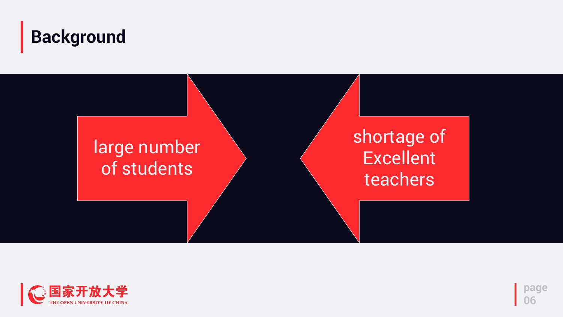#### **Background**



#### large number of students



#### shortage of Excellent teachers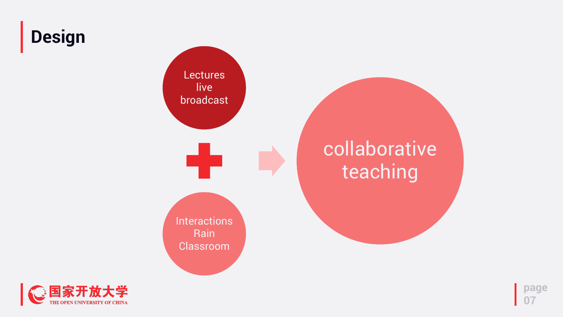### **Design**







### collaborative teaching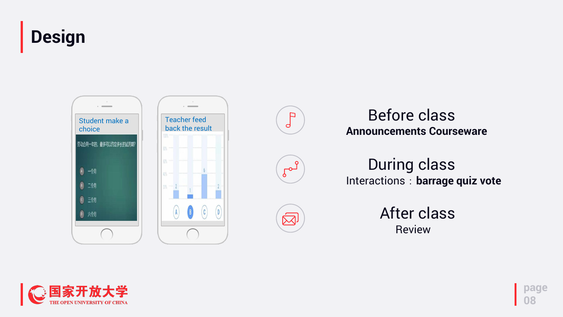### **Design**

**page**

**08**

#### **Announcements Courseware** Before class

Review After class

Interactions:**barrage quiz vote** During class









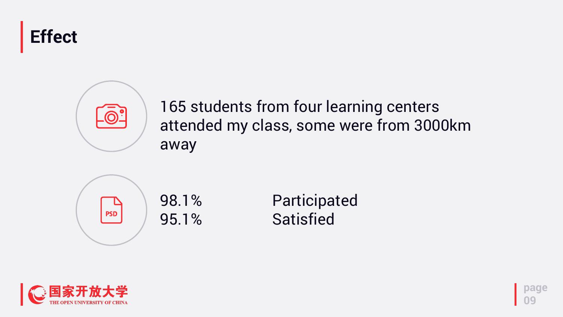





#### 165 students from four learning centers attended my class, some were from 3000km away



98.1% Participated 95.1% Satisfied

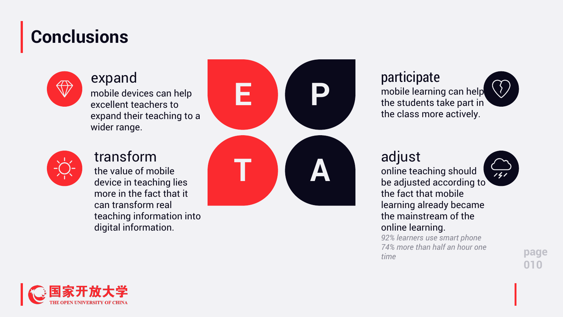### **Conclusions**



**page 010**

#### expand

mobile devices can help excellent teachers to expand their teaching to a wider range.



#### transform

the value of mobile device in teaching lies more in the fact that it can transform real teaching information into





#### participate mobile learning can help the students take part in the class more actively.

#### adjust

online teaching should be adjusted according to the fact that mobile learning already became the mainstream of the online learning.

*92% learners use smart phone 74% more than half an hour one time*